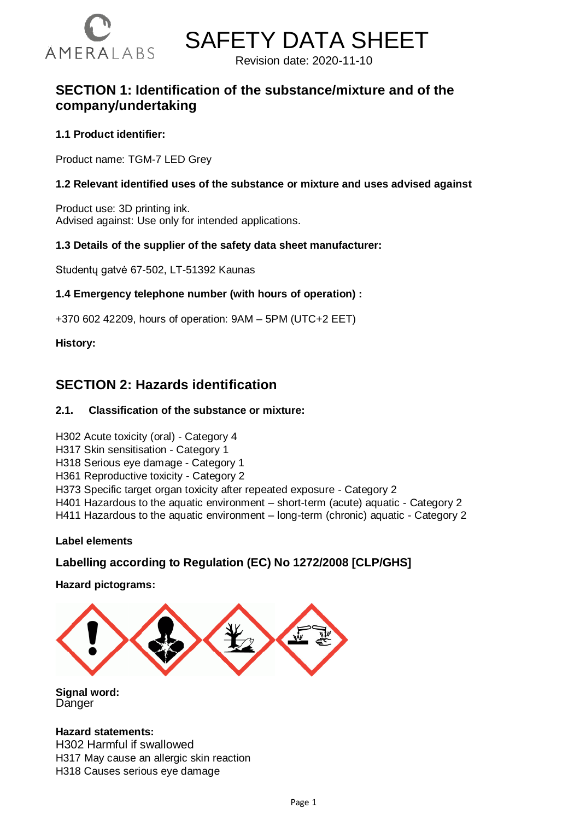



Revision date: 2020-11-10

# **SECTION 1: Identification of the substance/mixture and of the company/undertaking**

### **1.1 Product identifier:**

Product name: TGM-7 LED Grey

#### **1.2 Relevant identified uses of the substance or mixture and uses advised against**

Product use: 3D printing ink. Advised against: Use only for intended applications.

#### **1.3 Details of the supplier of the safety data sheet manufacturer:**

Studentų gatvė 67-502, LT-51392 Kaunas

#### **1.4 Emergency telephone number (with hours of operation) :**

+370 602 42209, hours of operation: 9AM – 5PM (UTC+2 EET)

#### **History:**

# **SECTION 2: Hazards identification**

#### **2.1. Classification of the substance or mixture:**

#### H302 Acute toxicity (oral) - Category 4

- H317 Skin sensitisation Category 1
- H318 Serious eye damage Category 1
- H361 Reproductive toxicity Category 2
- H373 Specific target organ toxicity after repeated exposure Category 2
- H401 Hazardous to the aquatic environment short-term (acute) aquatic Category 2

H411 Hazardous to the aquatic environment – long-term (chronic) aquatic - Category 2

#### **Label elements**

# **Labelling according to Regulation (EC) No 1272/2008 [CLP/GHS]**

**Hazard pictograms:**



**Signal word: Danger** 

#### **Hazard statements:**

H302 Harmful if swallowed H317 May cause an allergic skin reaction H318 Causes serious eye damage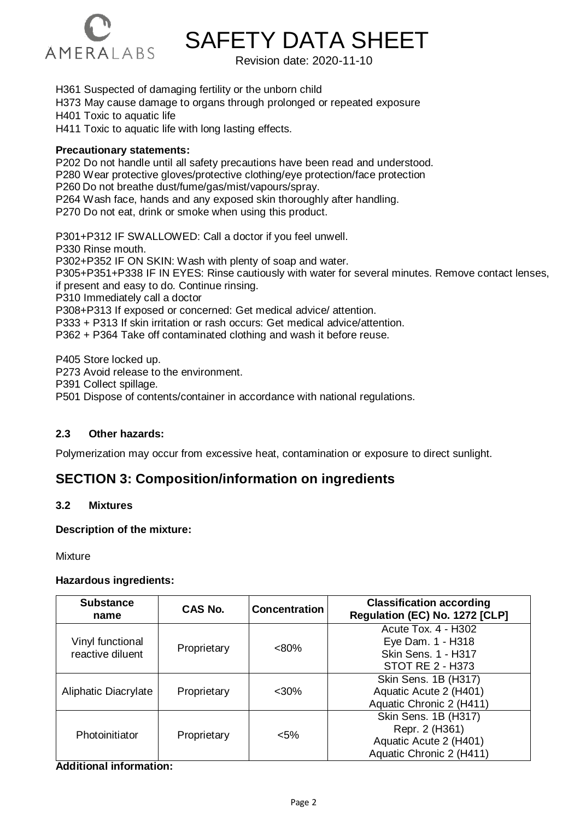

Revision date: 2020-11-10

H361 Suspected of damaging fertility or the unborn child

H373 May cause damage to organs through prolonged or repeated exposure

H401 Toxic to aquatic life

H411 Toxic to aquatic life with long lasting effects.

#### **Precautionary statements:**

P202 Do not handle until all safety precautions have been read and understood. P280 Wear protective gloves/protective clothing/eye protection/face protection P260 Do not breathe dust/fume/gas/mist/vapours/spray. P264 Wash face, hands and any exposed skin thoroughly after handling. P270 Do not eat, drink or smoke when using this product. P301+P312 IF SWALLOWED: Call a doctor if you feel unwell.

P330 Rinse mouth. P302+P352 IF ON SKIN: Wash with plenty of soap and water. P305+P351+P338 IF IN EYES: Rinse cautiously with water for several minutes. Remove contact lenses, if present and easy to do. Continue rinsing. P310 Immediately call a doctor P308+P313 If exposed or concerned: Get medical advice/ attention. P333 + P313 If skin irritation or rash occurs: Get medical advice/attention. P362 + P364 Take off contaminated clothing and wash it before reuse.

P405 Store locked up.

P273 Avoid release to the environment.

P391 Collect spillage.

P501 Dispose of contents/container in accordance with national regulations.

#### **2.3 Other hazards:**

Polymerization may occur from excessive heat, contamination or exposure to direct sunlight.

# **SECTION 3: Composition/information on ingredients**

#### **3.2 Mixtures**

#### **Description of the mixture:**

**Mixture** 

#### **Hazardous ingredients:**

| <b>Substance</b><br>name             | CAS No.     | <b>Concentration</b> | <b>Classification according</b><br>Regulation (EC) No. 1272 [CLP]                                 |  |
|--------------------------------------|-------------|----------------------|---------------------------------------------------------------------------------------------------|--|
| Vinyl functional<br>reactive diluent | Proprietary | $< 80\%$             | <b>Acute Tox. 4 - H302</b><br>Eye Dam. 1 - H318<br><b>Skin Sens. 1 - H317</b><br>STOT RE 2 - H373 |  |
| Aliphatic Diacrylate                 | Proprietary | $<$ 30%              | Skin Sens. 1B (H317)<br>Aquatic Acute 2 (H401)<br>Aquatic Chronic 2 (H411)                        |  |
| Photoinitiator                       | Proprietary | $< 5\%$              | Skin Sens. 1B (H317)<br>Repr. 2 (H361)<br>Aquatic Acute 2 (H401)<br>Aquatic Chronic 2 (H411)      |  |

#### **Additional information:**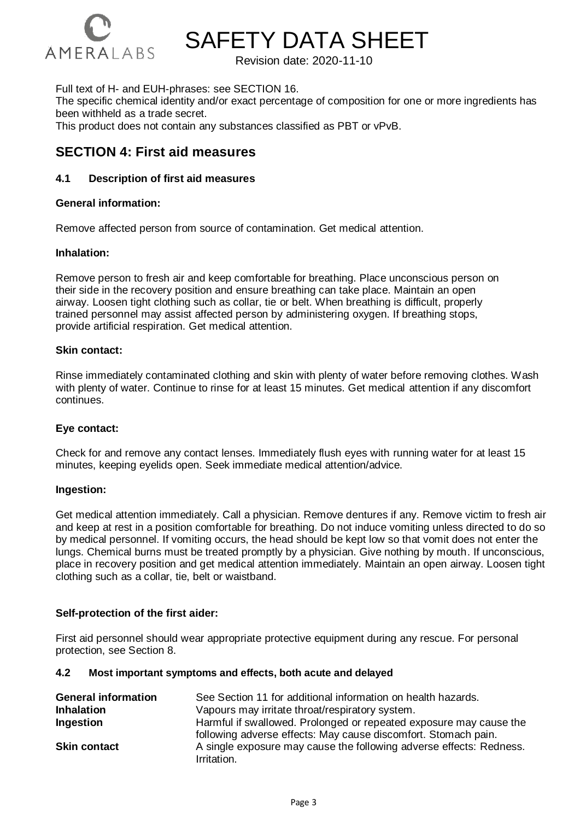

Revision date: 2020-11-10

Full text of H- and EUH-phrases: see SECTION 16.

The specific chemical identity and/or exact percentage of composition for one or more ingredients has been withheld as a trade secret.

This product does not contain any substances classified as PBT or vPvB.

# **SECTION 4: First aid measures**

#### **4.1 Description of first aid measures**

#### **General information:**

Remove affected person from source of contamination. Get medical attention.

#### **Inhalation:**

Remove person to fresh air and keep comfortable for breathing. Place unconscious person on their side in the recovery position and ensure breathing can take place. Maintain an open airway. Loosen tight clothing such as collar, tie or belt. When breathing is difficult, properly trained personnel may assist affected person by administering oxygen. If breathing stops, provide artificial respiration. Get medical attention.

#### **Skin contact:**

Rinse immediately contaminated clothing and skin with plenty of water before removing clothes. Wash with plenty of water. Continue to rinse for at least 15 minutes. Get medical attention if any discomfort continues.

#### **Eye contact:**

Check for and remove any contact lenses. Immediately flush eyes with running water for at least 15 minutes, keeping eyelids open. Seek immediate medical attention/advice.

#### **Ingestion:**

Get medical attention immediately. Call a physician. Remove dentures if any. Remove victim to fresh air and keep at rest in a position comfortable for breathing. Do not induce vomiting unless directed to do so by medical personnel. If vomiting occurs, the head should be kept low so that vomit does not enter the lungs. Chemical burns must be treated promptly by a physician. Give nothing by mouth. If unconscious, place in recovery position and get medical attention immediately. Maintain an open airway. Loosen tight clothing such as a collar, tie, belt or waistband.

#### **Self-protection of the first aider:**

First aid personnel should wear appropriate protective equipment during any rescue. For personal protection, see Section 8.

#### **4.2 Most important symptoms and effects, both acute and delayed**

| <b>General information</b> | See Section 11 for additional information on health hazards.                                                                         |
|----------------------------|--------------------------------------------------------------------------------------------------------------------------------------|
| <b>Inhalation</b>          | Vapours may irritate throat/respiratory system.                                                                                      |
| <b>Ingestion</b>           | Harmful if swallowed. Prolonged or repeated exposure may cause the<br>following adverse effects: May cause discomfort. Stomach pain. |
| <b>Skin contact</b>        | A single exposure may cause the following adverse effects: Redness.<br>Irritation.                                                   |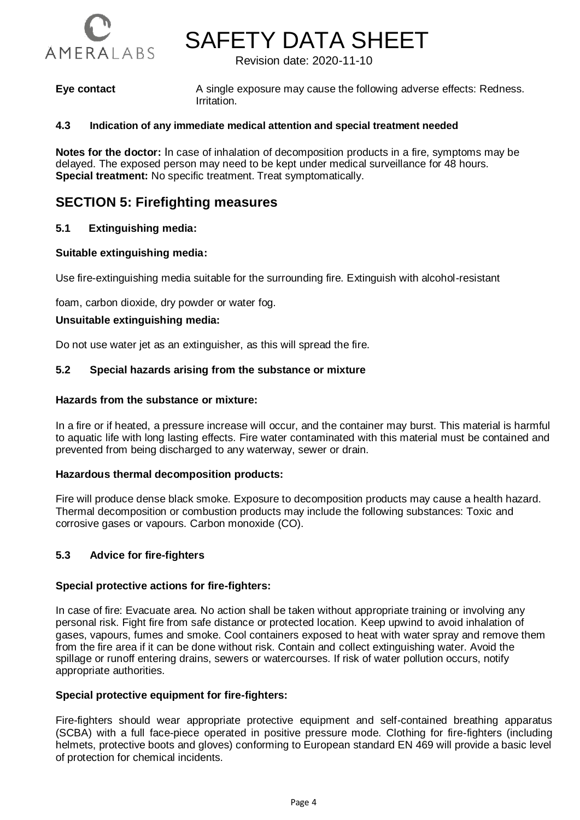

Revision date: 2020-11-10

**Eye contact** A single exposure may cause the following adverse effects: Redness. Irritation.

#### **4.3 Indication of any immediate medical attention and special treatment needed**

**Notes for the doctor:** In case of inhalation of decomposition products in a fire, symptoms may be delayed. The exposed person may need to be kept under medical surveillance for 48 hours. **Special treatment:** No specific treatment. Treat symptomatically.

# **SECTION 5: Firefighting measures**

#### **5.1 Extinguishing media:**

#### **Suitable extinguishing media:**

Use fire-extinguishing media suitable for the surrounding fire. Extinguish with alcohol-resistant

foam, carbon dioxide, dry powder or water fog.

#### **Unsuitable extinguishing media:**

Do not use water jet as an extinguisher, as this will spread the fire.

#### **5.2 Special hazards arising from the substance or mixture**

#### **Hazards from the substance or mixture:**

In a fire or if heated, a pressure increase will occur, and the container may burst. This material is harmful to aquatic life with long lasting effects. Fire water contaminated with this material must be contained and prevented from being discharged to any waterway, sewer or drain.

#### **Hazardous thermal decomposition products:**

Fire will produce dense black smoke. Exposure to decomposition products may cause a health hazard. Thermal decomposition or combustion products may include the following substances: Toxic and corrosive gases or vapours. Carbon monoxide (CO).

#### **5.3 Advice for fire-fighters**

#### **Special protective actions for fire-fighters:**

In case of fire: Evacuate area. No action shall be taken without appropriate training or involving any personal risk. Fight fire from safe distance or protected location. Keep upwind to avoid inhalation of gases, vapours, fumes and smoke. Cool containers exposed to heat with water spray and remove them from the fire area if it can be done without risk. Contain and collect extinguishing water. Avoid the spillage or runoff entering drains, sewers or watercourses. If risk of water pollution occurs, notify appropriate authorities.

#### **Special protective equipment for fire-fighters:**

Fire-fighters should wear appropriate protective equipment and self-contained breathing apparatus (SCBA) with a full face-piece operated in positive pressure mode. Clothing for fire-fighters (including helmets, protective boots and gloves) conforming to European standard EN 469 will provide a basic level of protection for chemical incidents.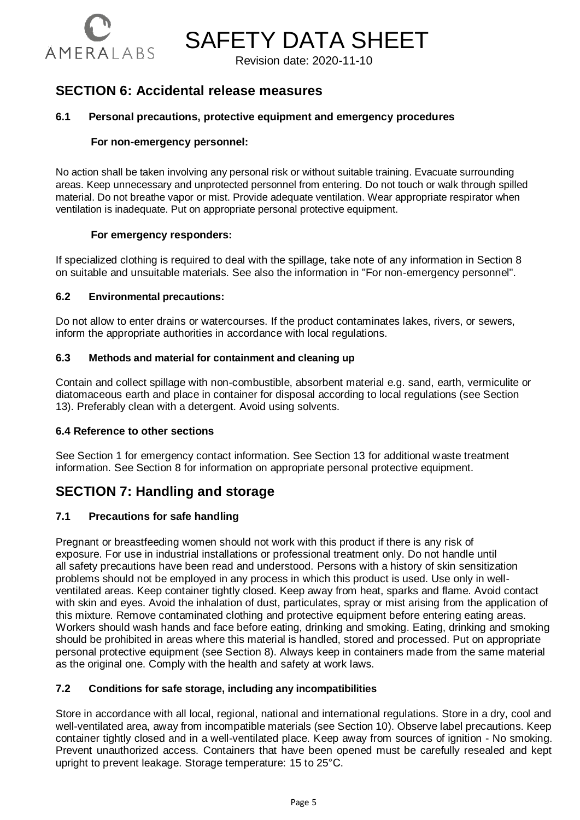

Revision date: 2020-11-10

# **SECTION 6: Accidental release measures**

#### **6.1 Personal precautions, protective equipment and emergency procedures**

#### **For non-emergency personnel:**

No action shall be taken involving any personal risk or without suitable training. Evacuate surrounding areas. Keep unnecessary and unprotected personnel from entering. Do not touch or walk through spilled material. Do not breathe vapor or mist. Provide adequate ventilation. Wear appropriate respirator when ventilation is inadequate. Put on appropriate personal protective equipment.

#### **For emergency responders:**

If specialized clothing is required to deal with the spillage, take note of any information in Section 8 on suitable and unsuitable materials. See also the information in "For non-emergency personnel".

#### **6.2 Environmental precautions:**

Do not allow to enter drains or watercourses. If the product contaminates lakes, rivers, or sewers, inform the appropriate authorities in accordance with local regulations.

#### **6.3 Methods and material for containment and cleaning up**

Contain and collect spillage with non-combustible, absorbent material e.g. sand, earth, vermiculite or diatomaceous earth and place in container for disposal according to local regulations (see Section 13). Preferably clean with a detergent. Avoid using solvents.

#### **6.4 Reference to other sections**

See Section 1 for emergency contact information. See Section 13 for additional waste treatment information. See Section 8 for information on appropriate personal protective equipment.

# **SECTION 7: Handling and storage**

#### **7.1 Precautions for safe handling**

Pregnant or breastfeeding women should not work with this product if there is any risk of exposure. For use in industrial installations or professional treatment only. Do not handle until all safety precautions have been read and understood. Persons with a history of skin sensitization problems should not be employed in any process in which this product is used. Use only in wellventilated areas. Keep container tightly closed. Keep away from heat, sparks and flame. Avoid contact with skin and eyes. Avoid the inhalation of dust, particulates, spray or mist arising from the application of this mixture. Remove contaminated clothing and protective equipment before entering eating areas. Workers should wash hands and face before eating, drinking and smoking. Eating, drinking and smoking should be prohibited in areas where this material is handled, stored and processed. Put on appropriate personal protective equipment (see Section 8). Always keep in containers made from the same material as the original one. Comply with the health and safety at work laws.

#### **7.2 Conditions for safe storage, including any incompatibilities**

Store in accordance with all local, regional, national and international regulations. Store in a dry, cool and well-ventilated area, away from incompatible materials (see Section 10). Observe label precautions. Keep container tightly closed and in a well-ventilated place. Keep away from sources of ignition - No smoking. Prevent unauthorized access. Containers that have been opened must be carefully resealed and kept upright to prevent leakage. Storage temperature: 15 to 25°C.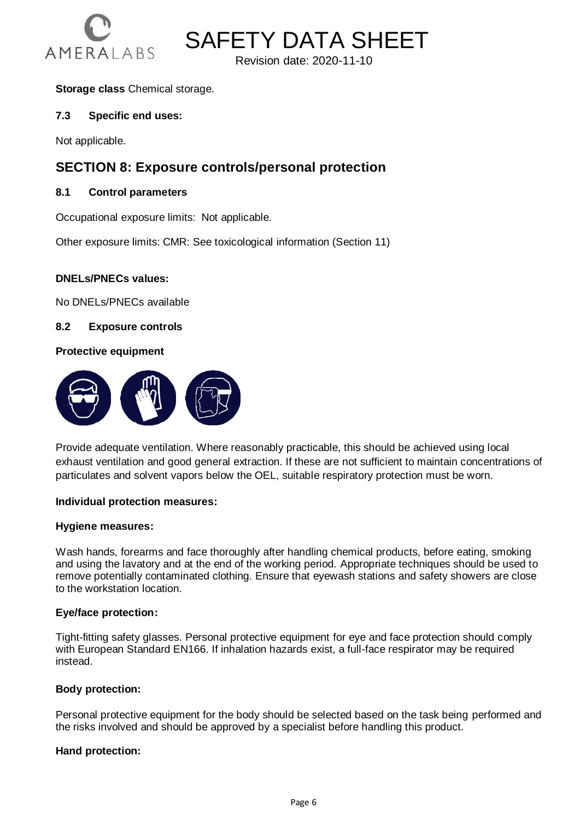

**SAFETY DATA SHEET** 

Revision date: 2020-11-10

#### **Storage class** Chemical storage.

#### **7.3 Specific end uses:**

Not applicable.

# **SECTION 8: Exposure controls/personal protection**

#### **8.1 Control parameters**

Occupational exposure limits: Not applicable.

Other exposure limits: CMR: See toxicological information (Section 11)

#### **DNELs/PNECs values:**

No DNELs/PNECs available

**8.2 Exposure controls**

#### **Protective equipment**



Provide adequate ventilation. Where reasonably practicable, this should be achieved using local exhaust ventilation and good general extraction. If these are not sufficient to maintain concentrations of particulates and solvent vapors below the OEL, suitable respiratory protection must be worn.

#### **Individual protection measures:**

#### **Hygiene measures:**

Wash hands, forearms and face thoroughly after handling chemical products, before eating, smoking and using the lavatory and at the end of the working period. Appropriate techniques should be used to remove potentially contaminated clothing. Ensure that eyewash stations and safety showers are close to the workstation location.

#### **Eye/face protection:**

Tight-fitting safety glasses. Personal protective equipment for eye and face protection should comply with European Standard EN166. If inhalation hazards exist, a full-face respirator may be required instead.

#### **Body protection:**

Personal protective equipment for the body should be selected based on the task being performed and the risks involved and should be approved by a specialist before handling this product.

#### **Hand protection:**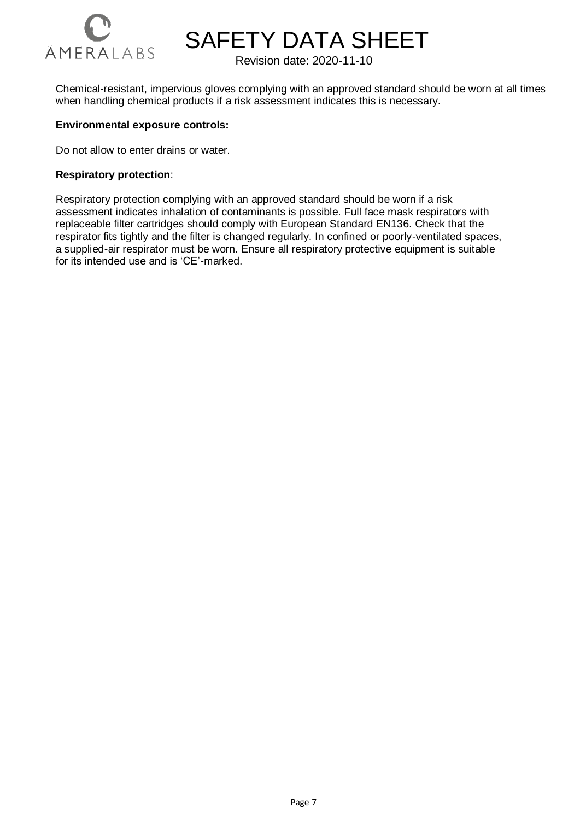

Revision date: 2020-11-10

Chemical-resistant, impervious gloves complying with an approved standard should be worn at all times when handling chemical products if a risk assessment indicates this is necessary.

#### **Environmental exposure controls:**

Do not allow to enter drains or water.

#### **Respiratory protection**:

Respiratory protection complying with an approved standard should be worn if a risk assessment indicates inhalation of contaminants is possible. Full face mask respirators with replaceable filter cartridges should comply with European Standard EN136. Check that the respirator fits tightly and the filter is changed regularly. In confined or poorly-ventilated spaces, a supplied-air respirator must be worn. Ensure all respiratory protective equipment is suitable for its intended use and is 'CE'-marked.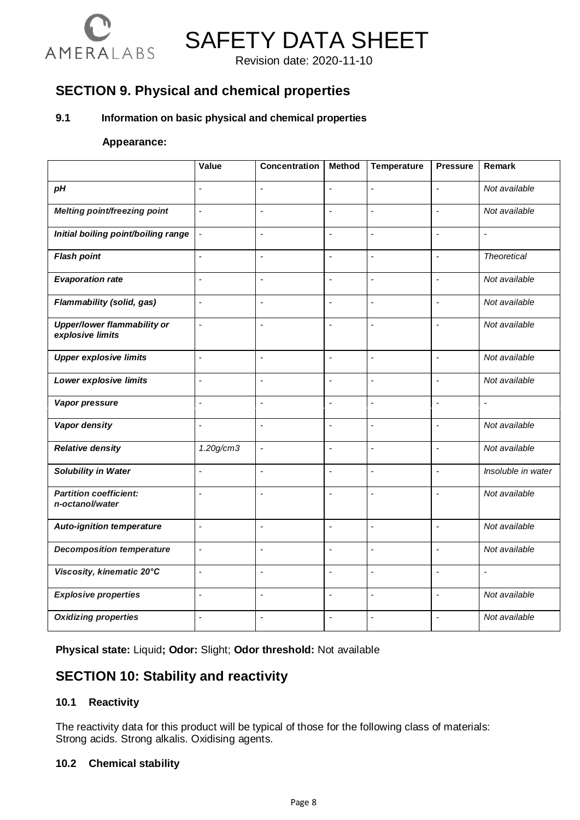

Revision date: 2020-11-10

# **SECTION 9. Physical and chemical properties**

#### **9.1 Information on basic physical and chemical properties**

#### **Appearance:**

|                                                  | Value                    | <b>Concentration</b>     | <b>Method</b>            | Temperature              | <b>Pressure</b>          | Remark                   |
|--------------------------------------------------|--------------------------|--------------------------|--------------------------|--------------------------|--------------------------|--------------------------|
| pH                                               | $\overline{a}$           | $\overline{a}$           | $\overline{a}$           | $\overline{a}$           | $\overline{a}$           | Not available            |
| <b>Melting point/freezing point</b>              | $\overline{\phantom{a}}$ | $\overline{\phantom{a}}$ | $\blacksquare$           | ÷,                       | $\overline{\phantom{a}}$ | Not available            |
| Initial boiling point/boiling range              | $\overline{\phantom{a}}$ | $\overline{a}$           | L                        | L,                       | $\overline{a}$           | ä,                       |
| <b>Flash point</b>                               | $\overline{a}$           | $\overline{a}$           | $\overline{a}$           | $\overline{a}$           | L.                       | <b>Theoretical</b>       |
| <b>Evaporation rate</b>                          | $\frac{1}{2}$            | $\overline{\phantom{a}}$ | $\overline{\phantom{a}}$ | $\overline{\phantom{a}}$ | $\overline{\phantom{a}}$ | Not available            |
| Flammability (solid, gas)                        | $\overline{a}$           | L.                       | $\overline{a}$           | $\overline{a}$           | L.                       | Not available            |
| Upper/lower flammability or<br>explosive limits  | $\frac{1}{2}$            | ÷,                       | $\overline{a}$           | $\overline{a}$           | $\overline{\phantom{a}}$ | Not available            |
| <b>Upper explosive limits</b>                    | $\blacksquare$           | $\sim$                   | $\overline{\phantom{a}}$ | $\overline{a}$           | $\overline{\phantom{a}}$ | Not available            |
| Lower explosive limits                           | $\frac{1}{2}$            | $\overline{a}$           | $\overline{\phantom{a}}$ | ÷,                       | $\overline{\phantom{a}}$ | Not available            |
| Vapor pressure                                   | ÷,                       | ÷,                       | L,                       | ÷,                       | ÷,                       | $\overline{\phantom{a}}$ |
| Vapor density                                    | $\overline{a}$           | ÷,                       | $\overline{a}$           | $\overline{a}$           | $\overline{a}$           | Not available            |
| <b>Relative density</b>                          | 1.20g/cm3                | $\overline{\phantom{a}}$ | ÷,                       | ÷,                       | $\overline{a}$           | Not available            |
| Solubility in Water                              | $\overline{\phantom{a}}$ | $\overline{a}$           | L,                       | L,                       | ÷,                       | Insoluble in water       |
| <b>Partition coefficient:</b><br>n-octanol/water | ÷,                       | $\overline{a}$           | L,                       | $\overline{a}$           | $\overline{\phantom{a}}$ | Not available            |
| <b>Auto-ignition temperature</b>                 | $\overline{\phantom{a}}$ | $\overline{\phantom{a}}$ | $\overline{a}$           | $\overline{a}$           | $\overline{\phantom{a}}$ | Not available            |
| <b>Decomposition temperature</b>                 | $\overline{a}$           | L.                       | $\overline{a}$           | ÷,                       | $\overline{a}$           | Not available            |
| Viscosity, kinematic 20°C                        | $\overline{\phantom{a}}$ | ÷,                       | L,                       | ÷,                       | ÷,                       | $\overline{\phantom{a}}$ |
| <b>Explosive properties</b>                      | ÷,                       | $\overline{\phantom{a}}$ | $\overline{a}$           | ÷,                       | $\overline{a}$           | Not available            |
| <b>Oxidizing properties</b>                      | $\overline{a}$           | J.                       | L                        | ÷,                       | ÷,                       | Not available            |

**Physical state:** Liquid**; Odor:** Slight; **Odor threshold:** Not available

# **SECTION 10: Stability and reactivity**

#### **10.1 Reactivity**

The reactivity data for this product will be typical of those for the following class of materials: Strong acids. Strong alkalis. Oxidising agents.

#### **10.2 Chemical stability**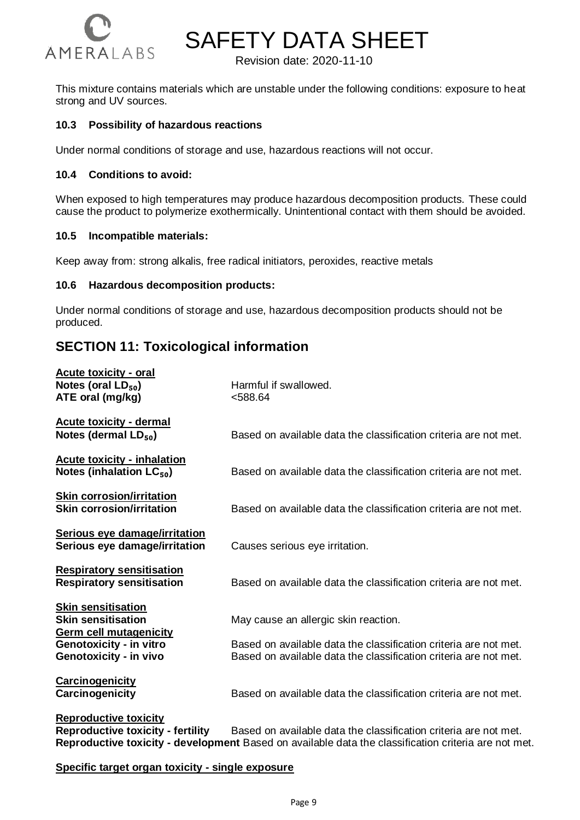

Revision date: 2020-11-10

This mixture contains materials which are unstable under the following conditions: exposure to heat strong and UV sources.

#### **10.3 Possibility of hazardous reactions**

Under normal conditions of storage and use, hazardous reactions will not occur.

#### **10.4 Conditions to avoid:**

When exposed to high temperatures may produce hazardous decomposition products. These could cause the product to polymerize exothermically. Unintentional contact with them should be avoided.

#### **10.5 Incompatible materials:**

Keep away from: strong alkalis, free radical initiators, peroxides, reactive metals

#### **10.6 Hazardous decomposition products:**

Under normal conditions of storage and use, hazardous decomposition products should not be produced.

# **SECTION 11: Toxicological information**

| <b>Acute toxicity - oral</b><br>Notes (oral $LD_{50}$ )<br>ATE oral (mg/kg)             | Harmful if swallowed.<br>< 588.64                                                                                                    |
|-----------------------------------------------------------------------------------------|--------------------------------------------------------------------------------------------------------------------------------------|
| <b>Acute toxicity - dermal</b><br>Notes (dermal $LD_{50}$ )                             | Based on available data the classification criteria are not met.                                                                     |
| <b>Acute toxicity - inhalation</b><br>Notes (inhalation $LC_{50}$ )                     | Based on available data the classification criteria are not met.                                                                     |
| <b>Skin corrosion/irritation</b><br><b>Skin corrosion/irritation</b>                    | Based on available data the classification criteria are not met.                                                                     |
| Serious eye damage/irritation<br>Serious eye damage/irritation                          | Causes serious eye irritation.                                                                                                       |
| <b>Respiratory sensitisation</b><br><b>Respiratory sensitisation</b>                    | Based on available data the classification criteria are not met.                                                                     |
| <b>Skin sensitisation</b><br><b>Skin sensitisation</b><br><b>Germ cell mutagenicity</b> | May cause an allergic skin reaction.                                                                                                 |
| Genotoxicity - in vitro<br>Genotoxicity - in vivo                                       | Based on available data the classification criteria are not met.<br>Based on available data the classification criteria are not met. |
| <b>Carcinogenicity</b><br>Carcinogenicity                                               | Based on available data the classification criteria are not met.                                                                     |
| <b>Reproductive toxicity</b>                                                            |                                                                                                                                      |

**Reproductive toxicity - fertility** Based on available data the classification criteria are not met. **Reproductive toxicity - development** Based on available data the classification criteria are not met.

**Specific target organ toxicity - single exposure**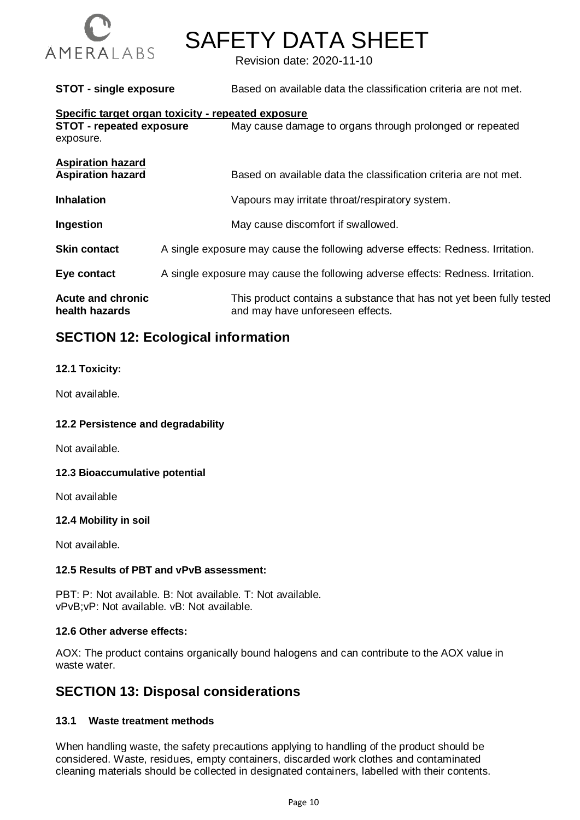

Revision date: 2020-11-10

**STOT - single exposure** Based on available data the classification criteria are not met.

#### **Specific target organ toxicity - repeated exposure**

| $\sim$ poon io tai got oi gan toxiony<br><b>STOT - repeated exposure</b><br>exposure. | May cause damage to organs through prolonged or repeated                                                 |
|---------------------------------------------------------------------------------------|----------------------------------------------------------------------------------------------------------|
| <b>Aspiration hazard</b><br><b>Aspiration hazard</b>                                  | Based on available data the classification criteria are not met.                                         |
| <b>Inhalation</b>                                                                     | Vapours may irritate throat/respiratory system.                                                          |
| Ingestion                                                                             | May cause discomfort if swallowed.                                                                       |
| <b>Skin contact</b>                                                                   | A single exposure may cause the following adverse effects: Redness. Irritation.                          |
| Eye contact                                                                           | A single exposure may cause the following adverse effects: Redness. Irritation.                          |
| <b>Acute and chronic</b><br>health hazards                                            | This product contains a substance that has not yet been fully tested<br>and may have unforeseen effects. |

# **SECTION 12: Ecological information**

#### **12.1 Toxicity:**

Not available.

#### **12.2 Persistence and degradability**

Not available.

#### **12.3 Bioaccumulative potential**

Not available

#### **12.4 Mobility in soil**

Not available.

#### **12.5 Results of PBT and vPvB assessment:**

PBT: P: Not available. B: Not available. T: Not available. vPvB;vP: Not available. vB: Not available.

#### **12.6 Other adverse effects:**

AOX: The product contains organically bound halogens and can contribute to the AOX value in waste water.

# **SECTION 13: Disposal considerations**

#### **13.1 Waste treatment methods**

When handling waste, the safety precautions applying to handling of the product should be considered. Waste, residues, empty containers, discarded work clothes and contaminated cleaning materials should be collected in designated containers, labelled with their contents.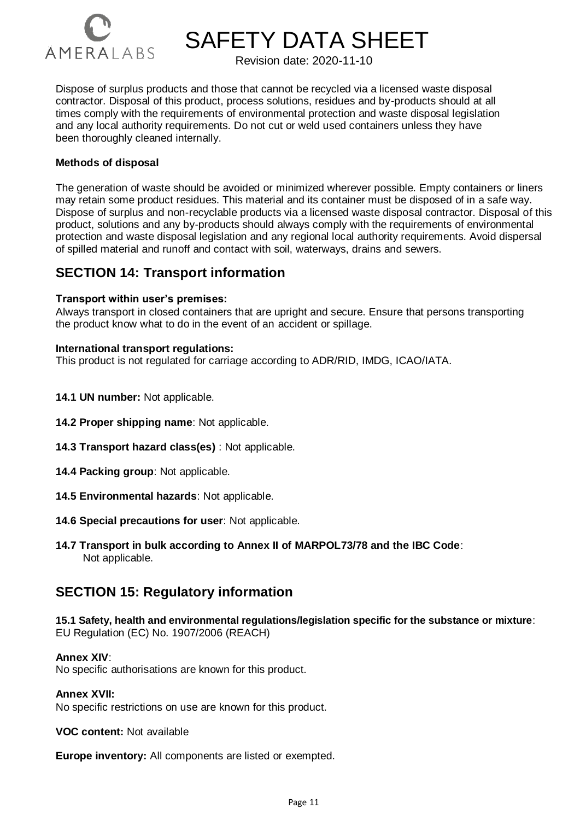

Revision date: 2020-11-10

Dispose of surplus products and those that cannot be recycled via a licensed waste disposal contractor. Disposal of this product, process solutions, residues and by-products should at all times comply with the requirements of environmental protection and waste disposal legislation and any local authority requirements. Do not cut or weld used containers unless they have been thoroughly cleaned internally.

#### **Methods of disposal**

The generation of waste should be avoided or minimized wherever possible. Empty containers or liners may retain some product residues. This material and its container must be disposed of in a safe way. Dispose of surplus and non-recyclable products via a licensed waste disposal contractor. Disposal of this product, solutions and any by-products should always comply with the requirements of environmental protection and waste disposal legislation and any regional local authority requirements. Avoid dispersal of spilled material and runoff and contact with soil, waterways, drains and sewers.

# **SECTION 14: Transport information**

#### **Transport within user's premises:**

Always transport in closed containers that are upright and secure. Ensure that persons transporting the product know what to do in the event of an accident or spillage.

#### **International transport regulations:**

This product is not regulated for carriage according to ADR/RID, IMDG, ICAO/IATA.

- **14.1 UN number:** Not applicable.
- **14.2 Proper shipping name**: Not applicable.
- **14.3 Transport hazard class(es)** : Not applicable.
- **14.4 Packing group**: Not applicable.
- **14.5 Environmental hazards**: Not applicable.
- **14.6 Special precautions for user**: Not applicable.
- **14.7 Transport in bulk according to Annex II of MARPOL73/78 and the IBC Code**: Not applicable.

# **SECTION 15: Regulatory information**

**15.1 Safety, health and environmental regulations/legislation specific for the substance or mixture**: EU Regulation (EC) No. 1907/2006 (REACH)

#### **Annex XIV**:

No specific authorisations are known for this product.

#### **Annex XVII:**

No specific restrictions on use are known for this product.

**VOC content:** Not available

**Europe inventory:** All components are listed or exempted.